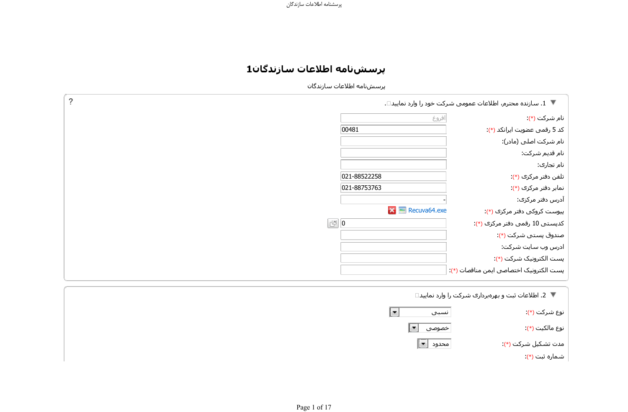## **پرسشنامه اطلاعات سازندگان1**

پرسشنامه اطلاعات سازندگان

| ?                         | ▼ 1. سازنده محترم، اطلاعات عمومی شرکت خود را وارد نمایید□. |
|---------------------------|------------------------------------------------------------|
| افروغ                     | نام شرکت (*)                                               |
| 00481                     | کد 5 رقمی عضویت ایرانکد (*):                               |
|                           | نام شرکت اصلی (مادر):                                      |
|                           | نام قدیم شـرکت:                                            |
|                           | نام تجاری:                                                 |
| 021-88522258              | تلفن دفتر مرکزی (*).                                       |
| 021-88753763              | نمابر دفتر مرکزی (*)                                       |
|                           | آدرس دفتر مرکزی:                                           |
| $\mathbf{X}$ Recuva64.exe | پیوست کروکی دفتر مرکزی (*):                                |
| $\mathbb{E}$ 0            | کدپستی 10 رقمی دفتر مرکزی (*):                             |
|                           | صندوق پستی شرکت (*):                                       |
|                           | ادرس وب سایت شرکت:                                         |
|                           | پست الکترونیک شرکت (*):                                    |
|                           | پست الکترونیک اختصاصی ایمن مناقصات (*):                    |

ΪϴҨΎϤϧ Ωέϭ έ Ζ̯ήη ̵έΩήΑϩήϬΑ ϭ ΖΒΛ ΕΎϋϼσ .2

| نوع شرکت (*)        | نسبى      | $\mathbb{R}$ |
|---------------------|-----------|--------------|
| نوع مالکيت (*)      | خصوصی ◘ ا |              |
| مدت تشكيل شركت (*): |           |              |
| شماره ثبت (*)       |           |              |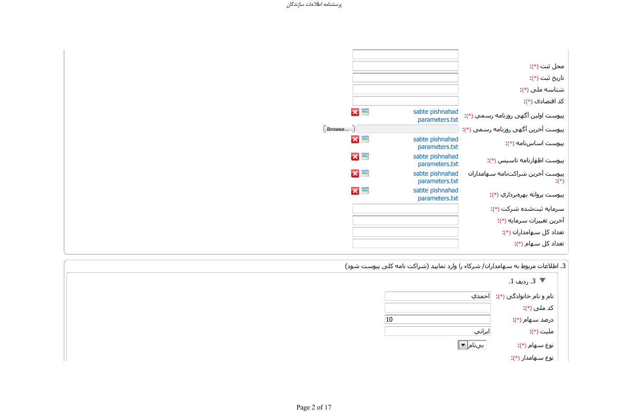|        |           |                                   | محل ثبت (*)                                  |
|--------|-----------|-----------------------------------|----------------------------------------------|
|        |           |                                   | تاريخ ثبت (*)                                |
|        |           |                                   | شناسه ملي (*)                                |
|        |           |                                   | کد اقتصادی (*):                              |
|        | $x =$     | sabte pishnahad<br>parameters.txt | پيوست اولين آگهي روزنامه رسـمي (*):          |
| Browse |           |                                   | پیوست آخرین آگهی روزنامه رسـمبي (*):         |
|        | $x =$     | sabte pishnahad<br>parameters.txt | پیوست اساسنامه (*):                          |
|        | <b>XE</b> | sabte pishnahad<br>parameters.txt | پیوست اظهارنامه تاسیس (*):                   |
|        | $X =$     | sabte pishnahad<br>parameters.txt | پيوست آخرين شراكتنامه سـهامداران<br>$(\ast)$ |
|        | $x \Box$  | sabte pishnahad<br>parameters.txt | پيوست پروانه بهرهبرداري (*):                 |
|        |           |                                   | سرمايه ثبتشده شركت (*):                      |
|        |           |                                   | آخرين تغييرات سرمايه (*):                    |
|        |           |                                   | تعداد کل سـهامداران (*):                     |
|        |           |                                   | تعداد کل سـهام (*):                          |

|                                            | 3. اطلاعات مربوط به سـهامداران/ شـركاء را وارد نماييد (شـراكت نامه كلبي پيوسـت شـود) |
|--------------------------------------------|--------------------------------------------------------------------------------------|
| ▼ 3. رديف 1.                               |                                                                                      |
| نام و نام خانوادگي (*): <mark>احمدي</mark> |                                                                                      |
| کد ملی (*)                                 |                                                                                      |
| درصد سـهام (*)                             | 10                                                                                   |
| ملیت (*)                                   | ايراني                                                                               |
| نوع سـهام (*)                              | ∣بیںام[ <mark>≖</mark> ]                                                             |
| نوع سـهامدار (*):                          |                                                                                      |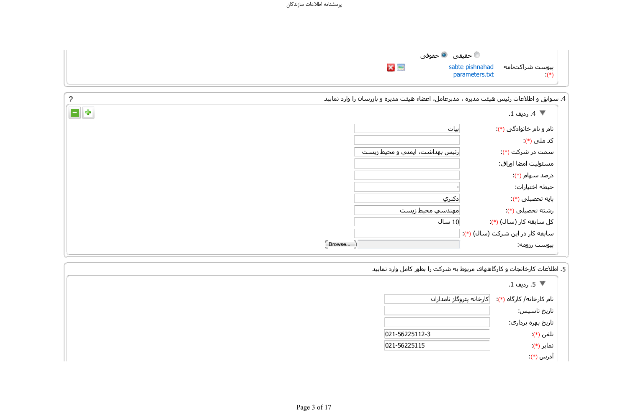|       | حقیقی $\bullet$ حقوقی $\bullet$ |                                             |
|-------|---------------------------------|---------------------------------------------|
| $X =$ | parameters.txt                  | پیوست شراکتنامه sabte pishnahad<br>$(\ast)$ |

| 4. سوابق و اطلاعات رئیس هیئت مدیره ، مدیرعامل، اعضاء هیئت مدیره و بازرسان را وارد نمایید |                                |
|------------------------------------------------------------------------------------------|--------------------------------|
| ▼ 4. رديف 1.                                                                             |                                |
| نام و نام خانوادگی (*):                                                                  | ∣بیات                          |
| کد ملی (*)                                                                               |                                |
| سمت در شرکت (*)                                                                          | رئیس بهداشت، ایمنی و محیط زیست |
| مسئوليت امضا اوراق:                                                                      |                                |
| درصد سـهام (*):                                                                          |                                |
| حيطه اختيارات:                                                                           |                                |
| پایه تحصیلی (*):                                                                         | ∣دکتري                         |
| رشته تحصیلی (*)                                                                          | مهندسي محيط زيست               |
| کل سابقه کار (سال) (*):                                                                  | 10 سال                         |
| سابقه کار در این شرکت (سال) (*):                                                         |                                |
| پیوست رزومه:                                                                             |                                |
|                                                                                          |                                |

۔<br>5. اطلاعات کارخانجات و کارگاههای مربوط به شرکت را بطور کامل وارد نمایید

|                          | ▼ 5. رديف 1.             |
|--------------------------|--------------------------|
| كارخانه پتروگاز نامداران | نام کارخانه/ کارگاه (*): |
|                          | تاريخ تاسـيس:            |
|                          | تاریخ بهره برداری:       |
| 021-56225112-3           | تلفي (*)                 |
| 021-56225115             | نمایر (*)                |
|                          | آدرس (*)                 |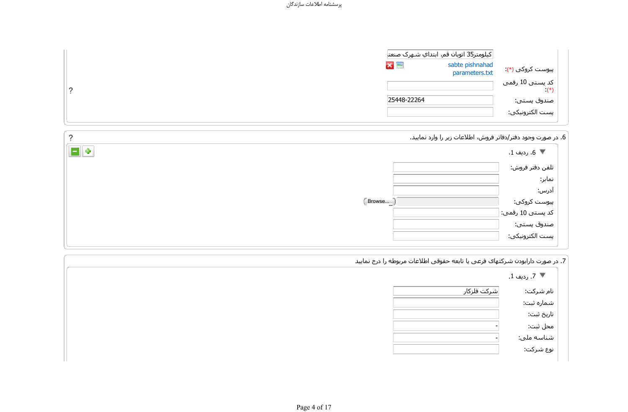|             | كيلومتر35 اتوبان قم، ابتداي شـهرک صنعت |                          |
|-------------|----------------------------------------|--------------------------|
| $x =$       | sabte pishnahad<br>parameters.txt      | پیوست کروکی (*)          |
|             |                                        | کد پسـتی 10 رقمی<br>(*): |
| 25448-22264 |                                        | صندوق پستی:              |
|             |                                        | پست الکترونیکی:          |

 $\overline{?}$ 

ً 6. در صورت وجود دفتر/دفاتر فروش، اطلاعات زیر را وارد نمایید.

| - 0            | ▼ 6. ردىف 1.              |
|----------------|---------------------------|
|                |                           |
|                | تلفن دفتر فروش:<br>نمابر: |
|                | آدرس:                     |
| $[$ Browse $]$ | پیوست کروکی:              |
|                | كد پستى 10 رقمى: $\mid$   |
|                | صندوق پستی:               |
|                | ر<br>پست الکترونیکی:      |

| ∣ 7. در صورت دارابودن شـرکتهاک فرعی یا تابعه حقوقی اطلاعات مربوطه را درج نمایید |  |
|---------------------------------------------------------------------------------|--|
| .∜ 7. رديف 1.                                                                   |  |
|                                                                                 |  |

| نام شـركت: | شركت فلزكار |
|------------|-------------|
| شماره ثبت: |             |
| تاريخ ثبت: |             |
| محل ثبت:   |             |
| شناسه ملي: |             |
| نوع شـركت: |             |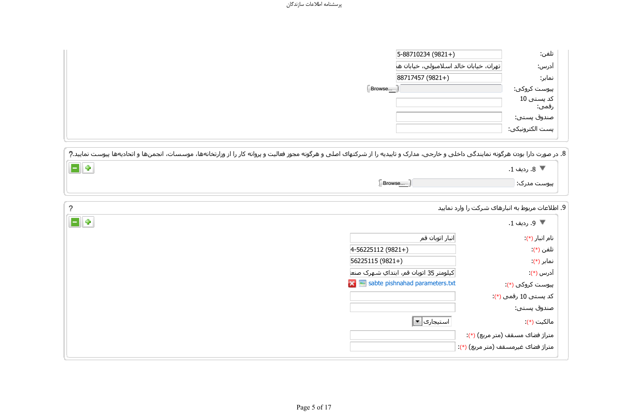| 5-88710234 (9821+) |                                          | تلفن:               |
|--------------------|------------------------------------------|---------------------|
|                    | تهران، خيابان خالد اسـلامبولي، خيابان ها | ادرس:               |
| 88717457 (9821+)   |                                          | نمابر:              |
| Browse             |                                          | پیوست کروکی:        |
|                    |                                          | کد پستی 10<br>رقمي: |
|                    |                                          | صندوق پستی:         |
|                    |                                          | پست الکترونیکی:     |
|                    |                                          |                     |

8. در صورت دارا بودن هرگونه نمایندگی داخلی و خارجی، مدارک و تاییدیه را از شرکتهای اصلی و هرگونه مجوز فعالیت و پروانه کار را از وزارتخانهها، موسسات، انجمنها و اتحادیهها پیوست نمایید.?

| . |        | 1900000<br>ً 8. رديف 1. |
|---|--------|-------------------------|
|   | Browse | پیوست مدرک: ٍ           |

 $\overline{?}$ 

9. اطلاعات مربوط به انبارهای شرکت را وارد نمایید

| ▼ 9. رديف 1.                       |                                         |
|------------------------------------|-----------------------------------------|
| نام انبار (*)                      | انبار اتوبان قم                         |
| تلفن (*)                           | $4-56225112(9821+)$                     |
| نمابر (*)                          | 56225115 (9821+)                        |
| آدرس (*)                           | كيلومتر 35 اتوبان قم، ابتداي شـهرک صنع¦ |
| پیوست کروکی (*)                    | sabte pishnahad parameters.txt          |
| کد پستی 10 رقمی (*)                |                                         |
| صندوق پستی:                        |                                         |
| مالکیت (*)                         | استیجارک  <mark>⊠</mark>                |
| متراژ فضای مسقف (متر مربع) (*):    |                                         |
| متراژ فضاک غیرمسقف (متر مربع) (*): |                                         |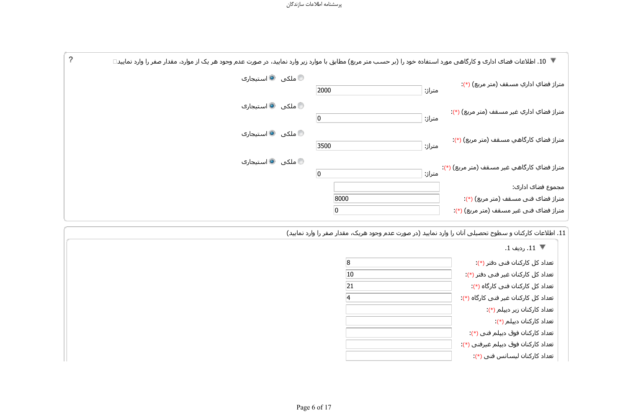

11. اطلاعات کارکنان و سطوح تحصیلی آنان را وارد نمایید (در صورت عدم وجود هریک، مقدار صفر را وارد نمایید)

|    | ▼ 11. رديف 1.                        |
|----|--------------------------------------|
| 8  | تعداد کل کارکنان فنی دفتر (*):       |
| 10 | تعداد کل کارکنان غیر فنی دفتر (*):   |
| 21 | تعداد کل کارکنان فنی کارگاه (*):     |
| 4  | تعداد کل کارکنان غیر فنی کارگاه (*): |
|    | تعداد کارکنان زیر دیپلم (*):         |
|    | تعداد كاركنان ديپلم (*):             |
|    | تعداد کارکنان فوق دیپلم فنی (*):     |
|    | تعداد کارکنان فوق دیپلم غیرفنی (*):  |
|    | تعداد كاركنان ليسانس فني (*):        |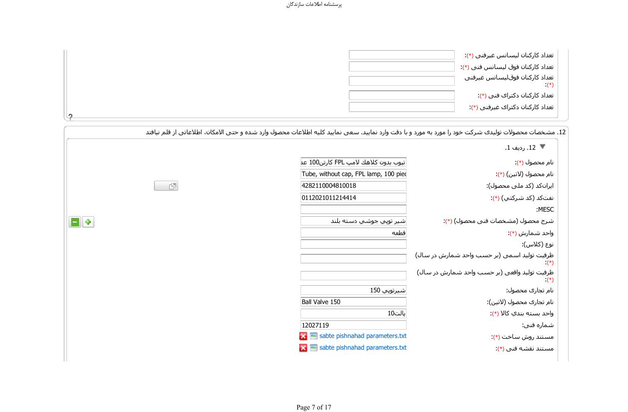| تعداد کارکنان لیسانس غیرفنی (*):            |  |
|---------------------------------------------|--|
| تعداد كاركنان فوق ليسانس فني (*):           |  |
| تعداد كاركنان فوقاليسانس غيرفني<br>$^{(*)}$ |  |
| تعداد کارکنان دکتراک فنی (*):               |  |
| تعداد کارکنان دکتراک غیرفنی (*):            |  |
|                                             |  |

ً 12. مشخصات محصولات تولیدی شرکت خود را مورد به مورد و با دقت وارد نمایید. سعی نمایید کلیه اطلاعات محصول وارد شده و حتی الامکان، اطلاعاتی از قلم نیافتد

|   |                                       | ▼ 12. رديف 1.                                            |
|---|---------------------------------------|----------------------------------------------------------|
|   | تيوب بدون كلاهك لامپ FPL كارتن100 عد  | نام محصول (*)                                            |
|   | Tube, without cap, FPL lamp, 100 pied | نام محصول (لاتين) (*):                                   |
| 凹 | 4282110004810018                      | ایرانکد (کد ملی محصول):                                  |
|   | 0112021011214414                      | نفتکد (کد شرکتي) (*):                                    |
|   |                                       | :MESC                                                    |
|   | شير توپي جوشي دسته بلند               | شرح محصول (مشخصات فني محصول) (*):                        |
|   | قطعه                                  | واحد شمارش (*):                                          |
|   |                                       | نوع (كلاس):                                              |
|   |                                       | ظرفیت تولید اسمی (بر حسب واحد شمارش در سال)              |
|   |                                       | ظرفیت تولید واقعی (بر حسب واحد شمارش در سال)<br>$(\ast)$ |
|   | شيرتوپي 150                           | نام تجارک محصول:                                         |
|   | Ball Valve 150                        | نام تجارک محصول (لاتين):                                 |
|   | پالت10                                | واحد بسته بندي کالا (*):                                 |
|   | 12027119                              | شماره فنی:                                               |
|   | sabte pishnahad parameters.txt        | مستند روش ساخت (*):                                      |
|   | sabte pishnahad parameters.txt        | مستند نقشه فني (*):                                      |

 $\Box$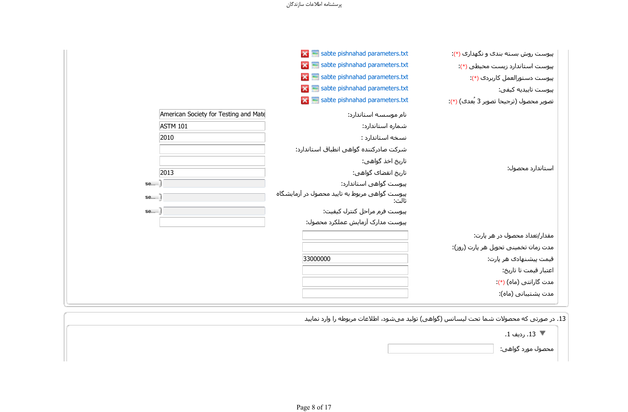| پیوست روش بسته بندک و نگهداری (*):      | $\vert x \vert$ sabte pishnahad parameters.txt             |                                       |
|-----------------------------------------|------------------------------------------------------------|---------------------------------------|
| پیوست استاندارد زیست محیطی (*):         | $\mathbf{X}$ sabte pishnahad parameters.txt                |                                       |
| پیوست دستورالعمل کاربردی (*):           | $\mathbf{X}$ $\blacksquare$ sabte pishnahad parameters.txt |                                       |
| پيوست تاييديه كيفي:                     | $\mathbf{X}$ sabte pishnahad parameters.txt                |                                       |
| تصوير محصول (ترجيحا تصوير 3 بُعدڪ) (*): | $\mathbf{X}$ sabte pishnahad parameters.txt                |                                       |
|                                         | نام موسسه استاندارد:                                       | American Society for Testing and Mate |
|                                         | شماره استاندارد:                                           | <b>ASTM 101</b>                       |
|                                         | نسخه استاندارد :                                           | 2010                                  |
|                                         | شرکت صادرکننده گواهی انطباق استاندارد:                     |                                       |
|                                         | تاريخ اخذ گواهي:                                           |                                       |
| استاندارد محصول:                        | تاريخ انقضاڪ گواهي:                                        | 2013                                  |
|                                         | پیوست گواهی استاندارد:                                     | se $\Box$                             |
|                                         | پیوست گواهی مربوط به تایید محصول در آزمایشگاه<br>ثالث:     | $\mathsf{se}$ . $\Box$                |
|                                         | پیوست فرم مراحل کنترل کیفیت:                               |                                       |
|                                         | پیوست مدارک آزمایش عملکرد محصول:                           |                                       |
| مقدار/تعداد محصول در هر پارت:           |                                                            |                                       |
| مدت زمان تخمینی تحویل هر پارت (روز):    |                                                            |                                       |
| قیمت پیشنهادک هر پارت:                  | 33000000                                                   |                                       |
| اعتبار قيمت تا تاريخ:                   |                                                            |                                       |
| مدت گارانتی (ماه) (*):                  |                                                            |                                       |
| مدت پشتیبانی (ماه):                     |                                                            |                                       |

ً 13. در صورتی که محصولات شـما تحت لیسـانس (گواهـی) تولید می۵شود، اطلاعات مربوطه را وارد نمایید

ً 13 . رديف 1.

هحصول مورد گواهي: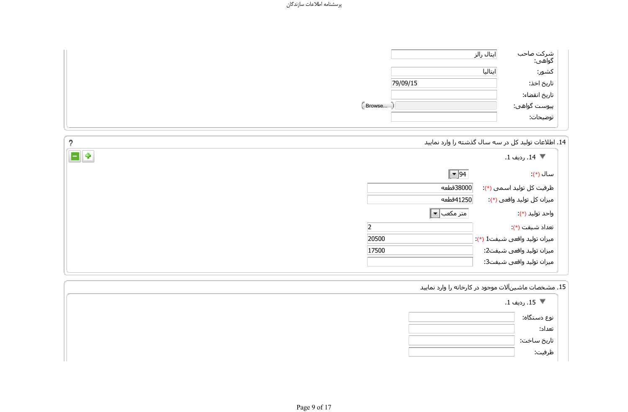| شرکت صاحب<br>گواهی:                       | ایتال رالز |        |
|-------------------------------------------|------------|--------|
| كشور:                                     | ايتاليا    |        |
| تاريخ اخذ:                                | 79/09/15   |        |
|                                           |            |        |
| تاریخ انقضاء:<br>پیوست گواهی:<br>توضیحات: |            | Browse |
|                                           |            |        |

.<br>14. اطلاعات توليد كل در سه سال گذشته را وارد نماييد

| ゥ                        | :. اطلاعات تولید کل در سه سال گذشته را وارد نمایید |
|--------------------------|----------------------------------------------------|
| E ÷                      | ▼ 14. رديف 1.                                      |
| $\vert \cdot \vert$ 94   | سال (*)                                            |
| ∣38000قطعه               | ظرفیت کل تولید اسـمی (*):                          |
| ∣41250قطعه               | میزان کل تولید واقعی (*):                          |
| متر مکعب  <mark>™</mark> | واحد توليد (*).                                    |
|                          | تعداد شيفت (*)                                     |
| 20500                    | ميزان توليد واقعي شـيفت1 (*):                      |
| 17500                    | ميزان توليد واقعي شيفت2:                           |
|                          | ميزان توليد واقعي شيفت3:                           |

ً 15. مشـخصات ماشـینآلات موجود در کارخانه را وارد نمایید

| ▼ 15. رديف 1.         |  |
|-----------------------|--|
| نوع دستگاه:           |  |
| تعداد:                |  |
|                       |  |
| تاریخ ساخت:<br>ظرفیت: |  |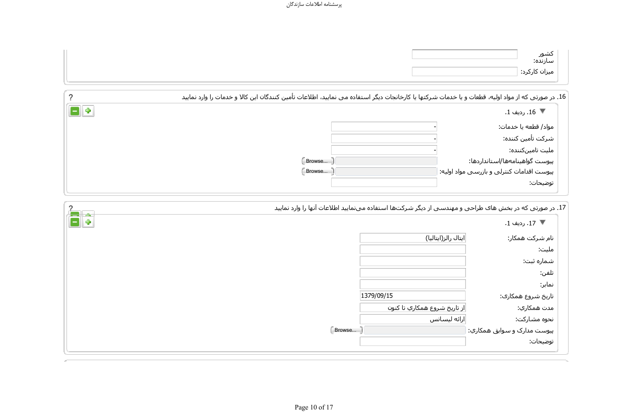| کشور<br>سازنده: |
|-----------------|
| میزان کارکرد:   |

|     | 16. در صورتی که از مواد اولیه، قطعات و یا خدمات شرکتها یا کارخانجات دیگر استفاده می نمایید، اطلاعات تأمین کنندگان این کالا و خدمات را وارد نمایید |                                            |
|-----|---------------------------------------------------------------------------------------------------------------------------------------------------|--------------------------------------------|
| 8 ÷ |                                                                                                                                                   | ▼ 16. رديف 1.                              |
|     |                                                                                                                                                   | مواد/ قطعه يا خدمات:                       |
|     |                                                                                                                                                   | شركت تأمين كننده:                          |
|     |                                                                                                                                                   | ملیت تامینکننده:                           |
|     | Browse                                                                                                                                            | پیوست گواهینامهها/استانداردها:             |
|     | Browse                                                                                                                                            | پیوست اقدامات کنترلی و بازرسـی مواد اولیه: |
|     |                                                                                                                                                   | توضيحات:                                   |
|     |                                                                                                                                                   |                                            |

|    |        | 17. در صورتی که در بخش هاک طراحی و مهندسی از دیگر شـرکتها استفاده می <code>نمایید</code> اطلاعات آنها را وارد نمایید |                             |
|----|--------|----------------------------------------------------------------------------------------------------------------------|-----------------------------|
| ā. |        |                                                                                                                      | ▼ 17. رديف 1.               |
|    |        | ایتال رالز(ایتالیا)                                                                                                  | نام شـركت همكار:            |
|    |        |                                                                                                                      | مليت:                       |
|    |        |                                                                                                                      | شماره ثبت:                  |
|    |        |                                                                                                                      | تلفن:                       |
|    |        |                                                                                                                      | نمابر:                      |
|    |        | 1379/09/15                                                                                                           | تاریخ شـروع همکارک:         |
|    |        | از تاريخ شـروع همكاري تا كنون                                                                                        | مدت همکاري:                 |
|    |        | ارائه ليسانس                                                                                                         | نحوه مشارکت:                |
|    | Browse |                                                                                                                      | پیوست مدارک و سوابق همکاري: |
|    |        |                                                                                                                      | توضيحات:                    |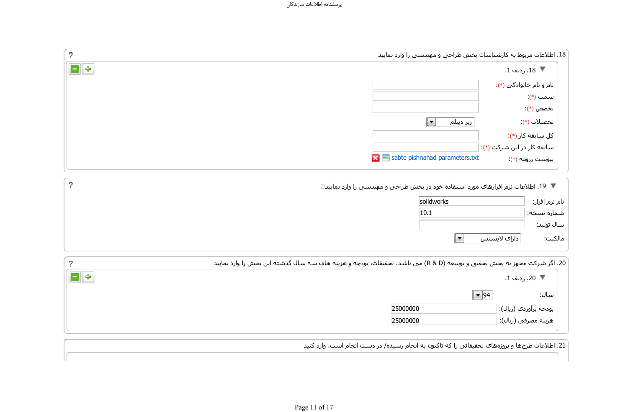|                        | 18. اطلاعات مربوط به کارشناسان بخش طراحی و مهندسپی را وارد نمایید |  |
|------------------------|-------------------------------------------------------------------|--|
| ▼ 18. رديف 1.          |                                                                   |  |
| نام و نام خانوادگي (*) |                                                                   |  |
| سـمت (*)               |                                                                   |  |
| تخصص (*)               |                                                                   |  |

|                | ▼ ً 19. اطلاعات نرم افزارهای مورد استفاده خود در بخش طراحی و مهندسـی را وارد نمایید□ |            |  |  |
|----------------|--------------------------------------------------------------------------------------|------------|--|--|
| نام نرم افزار: |                                                                                      | solidworks |  |  |
| شماره نسخه:    |                                                                                      | 10.1       |  |  |
| سال توليد:     |                                                                                      |            |  |  |
| مالكيت:        | l.<br>  دارای لایسنس                                                                 |            |  |  |

 $\overline{?}$ 

 $\overline{?}$ 

 $\Box$ 

|   | 20. اگر شرکت مجهز به بخش تحقیق و توسعه (R & D) می باشد، تحقیقات، بودجه و هزینه های سه سال گذشته این بخش را وارد نمایید |                       |
|---|------------------------------------------------------------------------------------------------------------------------|-----------------------|
| Ф |                                                                                                                        | ▼ 20. رديف 1.         |
|   | $\vert \mathbf{v} \vert$ 94                                                                                            | سال:                  |
|   | 25000000                                                                                                               | بودجه برآوردی (ریال): |
|   | 25000000                                                                                                               | هزینه مصرفی (ریال):   |

21. اطلاعات طرحها و پروژههای تحقیقاتی را که تاکنون به انجام رسیده/ در دست انجام است، وارد کنید

 $\overline{\phantom{a}}$ تحصیلات (\*): تحصیلات (\*)

sabte pishnahad parameters.txt :(\*) پیوست رزومه $(*)$ 

 $\overline{\phantom{a}}$ 

كل سابقه كار (\*)

سابقه کار در این شرکت (\*):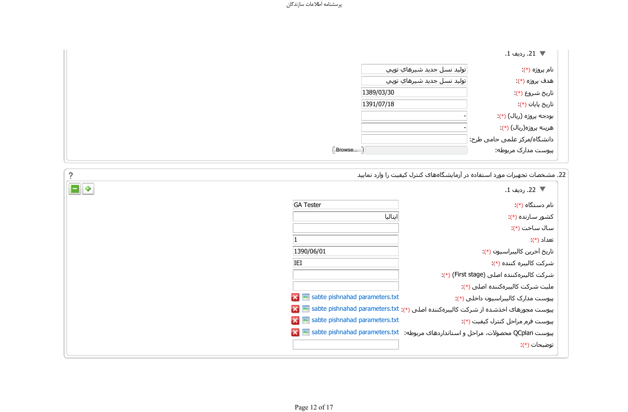|                               | ♥ 21. رديف 1.               |
|-------------------------------|-----------------------------|
| ∣تولید نسل جدید شیرهاي توپي   | نام پروژه (*)               |
| ِتوليد نسـل جديد شـيرهاي توپي | هدف پروژه (*):              |
|                               | تاريخ شـروع (*)             |
|                               | تاریخ پایان (*)             |
|                               | بودجه پروژه (ریال) (*):     |
|                               | هزینه پروژه(ریال) (*):      |
|                               | دانشگاه/مرکز علمی حامی طرح: |
|                               | پیوست مدارک مربوطه:         |

ً 22. مشخصات تجهیزات مورد استفاده در آزمایشگاههای کنترل کیفیت را وارد نمایید

| ▼ 22. رديف 1.                                                                              |                                                          |
|--------------------------------------------------------------------------------------------|----------------------------------------------------------|
| نام دستگاه (*).                                                                            | <b>GA Tester</b>                                         |
| کشور سازنده (*)                                                                            | اىتالىا                                                  |
| سال ساخت (*).                                                                              |                                                          |
| تعداد (*)                                                                                  |                                                          |
| تاريخ آخرين كاليبراسيون (*):                                                               | 1390/06/01                                               |
| شرکت کالیبره کننده (*):                                                                    | IEI                                                      |
| شركت كاليبرهكننده اصلى (First stage) (*):                                                  |                                                          |
| مليت شركت كاليبرەكنندە اصلى (*):                                                           |                                                          |
| پیوست مدارک کالیبراسیون داخلبی (*):                                                        | $\mathbf{X}$ $\mathbf{I}$ sabte pishnahad parameters.txt |
| پیوست مجوزهای اخذشده از شرکت کالیبرهکننده اصلی (*): sabte pishnahad parameters.txt    abte |                                                          |
| پیوست فرم مراحل کنترل کیفیت (*):                                                           | $\mathbf{X}$ $\mathbf{B}$ sabte pishnahad parameters.txt |
| پیوست QCplan محصولات، مراحل و استانداردهای مربوطه: sabte pishnahad parameters.txt = >      |                                                          |
| توضيحات (*)                                                                                |                                                          |

 $\overline{\phantom{a}}$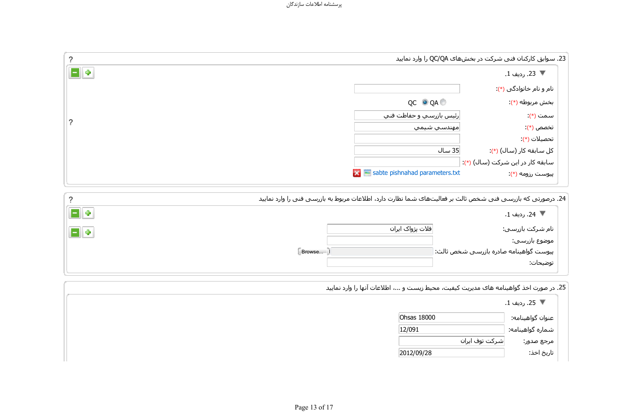| 2     |                                                            | 23. سوابق کارکنان فنی شرکت در بخشهاک QC/QA را وارد نمایید |
|-------|------------------------------------------------------------|-----------------------------------------------------------|
| E   ÷ |                                                            | ▼ 23. رديف 1.                                             |
|       |                                                            | نام و نام خانوادگی (*):                                   |
|       | QC O QA O                                                  | بخش مربوطه (*).                                           |
| っ     | رئيس بازرسـي و حفاظت فنـي                                  | سمت (*)                                                   |
|       | مهندسي شيمي                                                | تخصص (*)                                                  |
|       |                                                            | تحصيلات (*)                                               |
|       | 35 سال                                                     | کل سابقه کار (سال) (*):                                   |
|       |                                                            | سابقه کار در این شرکت (سال) (*):                          |
|       | $\mathbf{X}$ $\blacksquare$ sabte pishnahad parameters.txt | پیوست رزومه (*).                                          |

| 24. درصورتی که بازرسـی فنی شخص ثالث بر فعالیت۱های شـما نظارت دارد، اطلاعات مربوط به بازرسـی فنی را وارد نمایید |  |  |  |
|----------------------------------------------------------------------------------------------------------------|--|--|--|
|----------------------------------------------------------------------------------------------------------------|--|--|--|

| ¦ ⊕    | ▼ 24. رديف 1.                           |
|--------|-----------------------------------------|
| ∦⊪⊕    | ∣فلات پژواک ایران<br>نام شرکت بازرسی:   |
|        | موضوع بازرسـي:                          |
| Browse | پیوست گواهینامه صادره بازرسپی شخص ثالث: |
|        | توضيحات:                                |
|        |                                         |

 $\overline{?}$ 

ΪϴҨΎϤϧ Ωέϭ έ ΎϬϧ ΕΎϋϼσ ˬ... ϭ ΖδҨί ςϴΤϣ ˬΖϴϔϴ̯ ΖҨήҨΪϣ ̵Ύϫ ϪϣΎϨϴϫϮ̳ άΧ ΕέϮλ έΩ .25

|             | ▼  25. رديف 1.                |
|-------------|-------------------------------|
| Ohsas 18000 | عنوان گواهينامه:              |
| 12/091      | شماره گواهینامه:              |
|             | شـركت توف ايران<br>مرجع صدور: |
| 2012/09/28  | تاريخ اخذ:                    |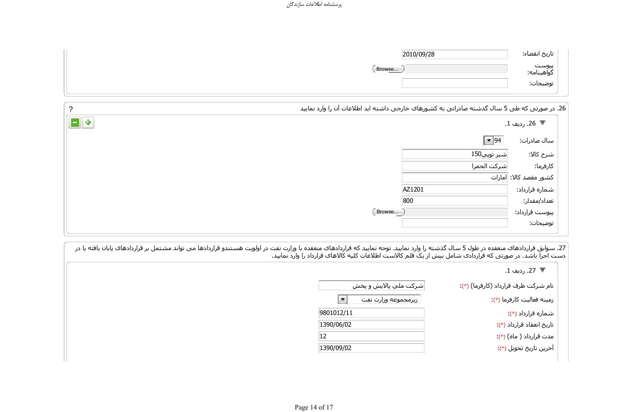| 2010/09/28 | تاريخ انقضاء:       |
|------------|---------------------|
| Browse     | پيوست<br>گواهينامه: |
|            | توضيحات:            |

| ?      |        | 26. در صورتی که طی 5 سال گذشته صادراتی به کشورهای خارجی داشته اید اطلاعات آن را وارد نمایید |                         |
|--------|--------|---------------------------------------------------------------------------------------------|-------------------------|
| $\Box$ |        |                                                                                             | ▼ 26. رديف 1.           |
|        |        | $\boxed{\blacksquare}$ 94                                                                   | سال صادرات:             |
|        |        | شـىر توپى150                                                                                | شرح كالا:               |
|        |        | شركت الحمرا                                                                                 | كارفرما:                |
|        |        |                                                                                             | كشور مقصد كالا:  امارات |
|        |        | AZ1201                                                                                      | شماره قرارداد:          |
|        |        | 800                                                                                         | تعداد/مقدار:            |
|        | Browse |                                                                                             | پیوست قرارداد:          |
|        |        |                                                                                             | توضيحات:                |

27. سوابق قراردادهاک منعقده در طول 5 سال گذشته را وارد نمایید. توجه نمایید که قراردادهاک منعقده با وزارت نفت در اولویت هستندو قراردادها می تواند مشتمل بر قراردادهاک پایان یافته یا در دست اجرا باشد. در صورتی که قراردادک شامل بیش از یک قلم کالاست اطلاعات کلیه کالاهاک قرارداد را وارد نمایید.

|                       | ▼ 27. رديف 1.                        |
|-----------------------|--------------------------------------|
| شرکت ملي پالايش و پخش | نام شـركت طرف قرارداد (كارفرما) (*): |
| زيرمجموعه وزارت نفت   | زمينه فعاليت كارفرما (*):            |
| 9801012/11            | شماره قرارداد (*)                    |
| 1390/06/02            | تاریخ انعقاد قرارداد (*):            |
| 12                    | مدت قرارداد ( ماه) (*)               |
| 1390/09/02            | آخرین تاریخ تحویل (*)                |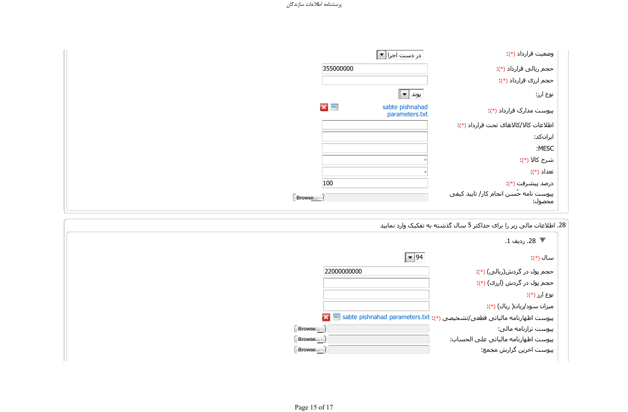|        | در دست اجرا <mark>▼</mark>                    | وضعيت قرارداد (*).                               |
|--------|-----------------------------------------------|--------------------------------------------------|
|        | 355000000                                     | حجم ریالی قرارداد (*):                           |
|        |                                               | حجم ارزی قرارداد (*).                            |
|        | پوند   <u>▼</u>                               | نوع ارز:                                         |
|        | $\times$<br>sabte pishnahad<br>parameters.txt | پیوست مدارک قرارداد (*):                         |
|        |                                               | اطلاعات كالا/كالاهاى تحت قرارداد (*):            |
|        |                                               | ایرانکد:                                         |
|        |                                               | :MESC                                            |
|        |                                               | شرح کالا (*):                                    |
|        |                                               | تعداد (*)                                        |
| 100    |                                               | درصد پیشرفت (*)                                  |
| Browse |                                               | پیوست نامه حُسـن انجام کار/ تایید کیفی<br>محصول: |

و<br>28. اطلاعات مالی زیر را برای حداکثر 5 سال گذشته به تفکیک وارد نمایید

|                           | ▼ 28. رديف 1.                                                                |
|---------------------------|------------------------------------------------------------------------------|
| $\boxed{\blacksquare}$ 94 | سال (*)                                                                      |
| 22000000000               | حجم پول در گردش(ریالی) (*):                                                  |
|                           | حجم پول در گردش (ارزک) (*):                                                  |
|                           | نوع ارز (*)                                                                  |
|                           | میزان سود/زیان( ریال) (*):                                                   |
|                           | پیوست اظهارنامه مالیاتی قطعی/تشخیصی (*): sabte pishnahad parameters.txt  معا |
| Browse                    | پیوست ترازنامه مالی:                                                         |
| Browse                    | پيوست اظهارنامه مالياتي على الحساب:                                          |
| Browse                    | پیوست اخرین گزارش مجمع:                                                      |